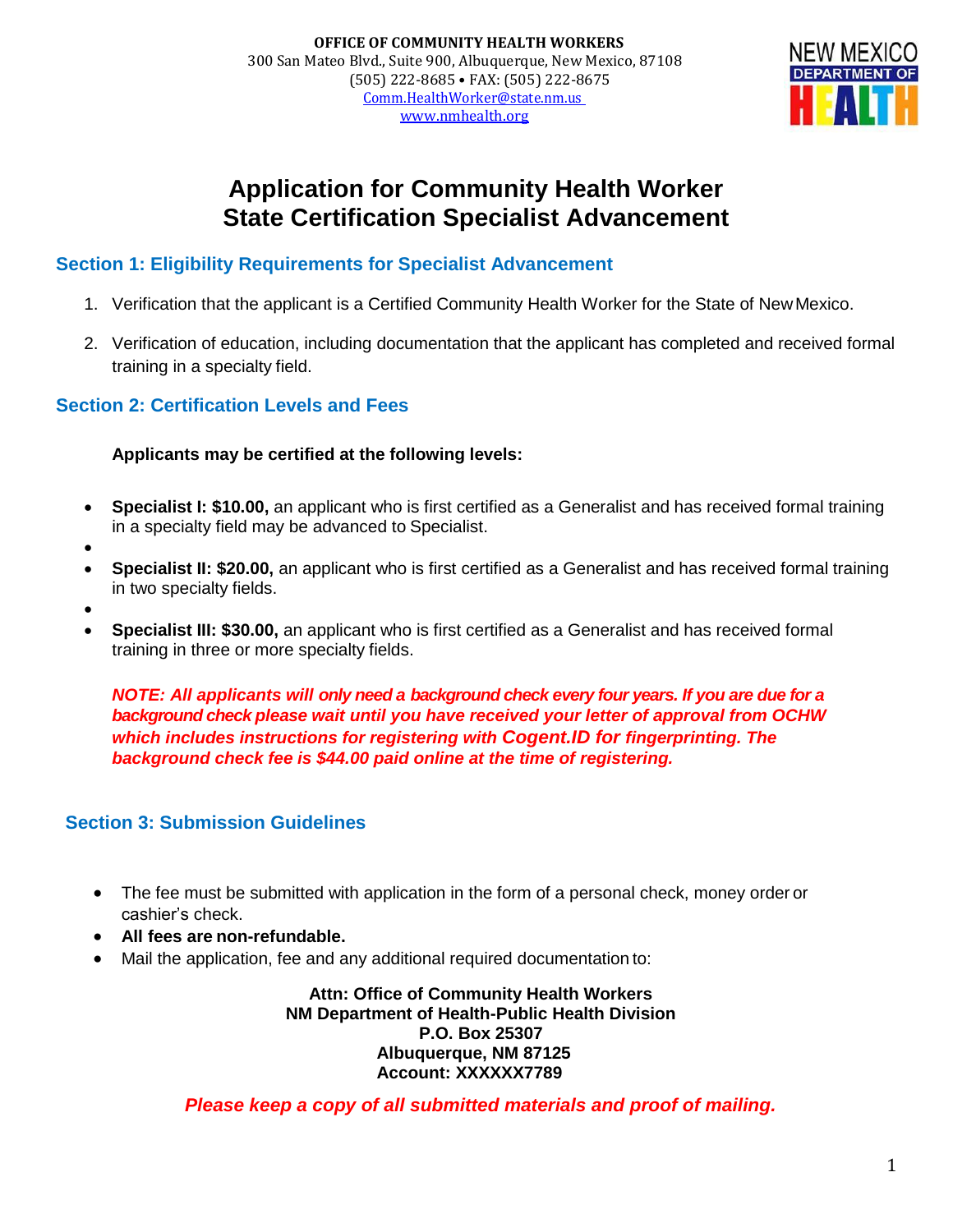

# **Application for Community Health Worker State Certification Specialist Advancement**

#### **Section 1: Eligibility Requirements for Specialist Advancement**

- 1. Verification that the applicant is a Certified Community Health Worker for the State of NewMexico.
- 2. Verification of education, including documentation that the applicant has completed and received formal training in a specialty field.

#### **Section 2: Certification Levels and Fees**

**Applicants may be certified at the following levels:**

- **Specialist I: \$10.00,** an applicant who is first certified as a Generalist and has received formal training in a specialty field may be advanced to Specialist.
- •
- **Specialist II: \$20.00,** an applicant who is first certified as a Generalist and has received formal training in two specialty fields.
- •
- **Specialist III: \$30.00,** an applicant who is first certified as a Generalist and has received formal training in three or more specialty fields.

*NOTE: All applicants will only need a background check every four years. If you are due for a background check please wait until you have received your letter of approval from OCHW which includes instructions for registering with Cogent.ID for fingerprinting. The background check fee is \$44.00 paid online at the time of registering.*

#### **Section 3: Submission Guidelines**

- The fee must be submitted with application in the form of a personal check, money order or cashier's check.
- **All fees are non-refundable.**
- Mail the application, fee and any additional required documentation to:

**Attn: Office of Community Health Workers NM Department of Health-Public Health Division P.O. Box 25307 Albuquerque, NM 87125 Account: XXXXXX7789**

*Please keep a copy of all submitted materials and proof of mailing.*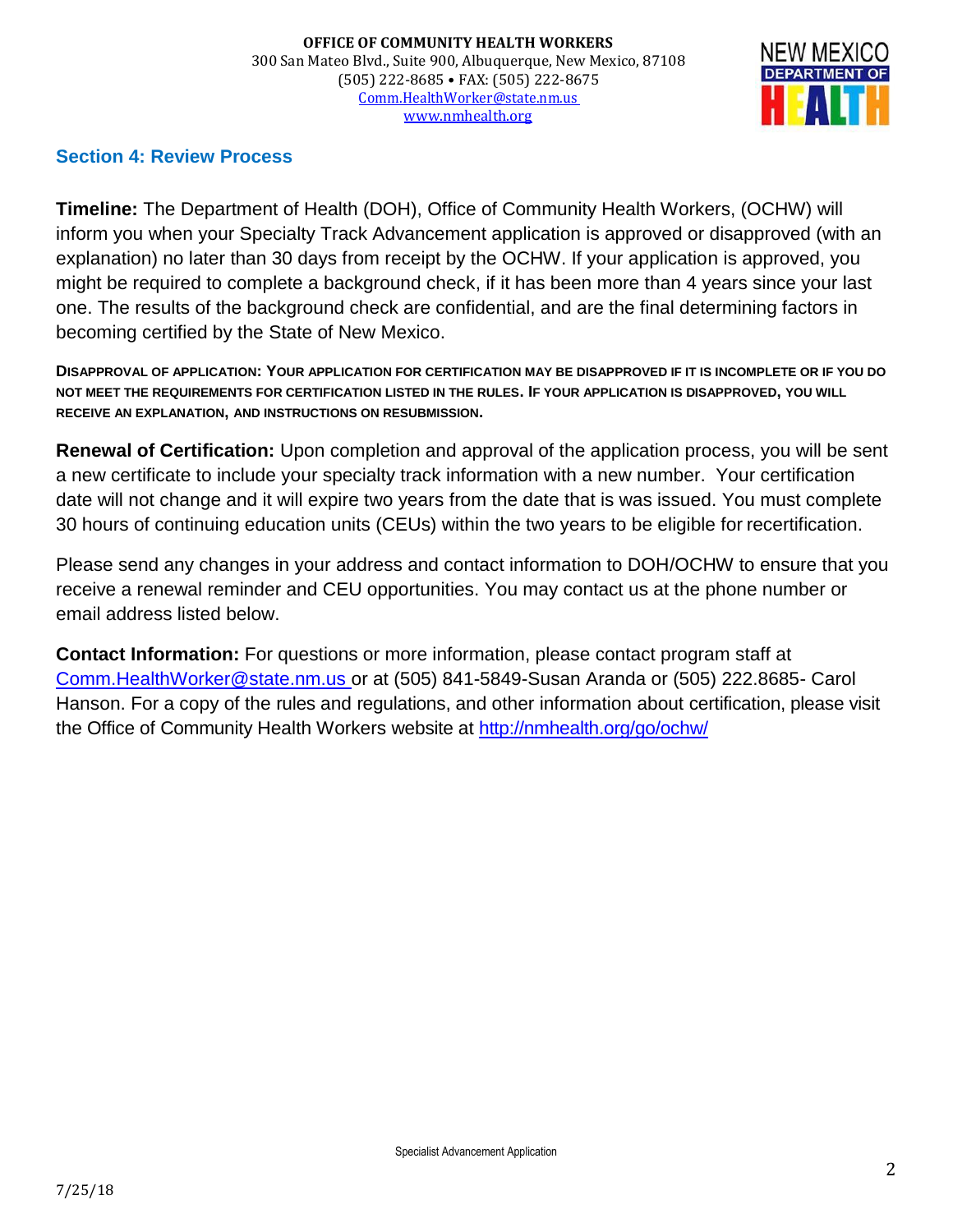

#### **Section 4: Review Process**

**Timeline:** The Department of Health (DOH), Office of Community Health Workers, (OCHW) will inform you when your Specialty Track Advancement application is approved or disapproved (with an explanation) no later than 30 days from receipt by the OCHW. If your application is approved, you might be required to complete a background check, if it has been more than 4 years since your last one. The results of the background check are confidential, and are the final determining factors in becoming certified by the State of New Mexico.

**DISAPPROVAL OF APPLICATION: YOUR APPLICATION FOR CERTIFICATION MAY BE DISAPPROVED IF IT IS INCOMPLETE OR IF YOU DO NOT MEET THE REQUIREMENTS FOR CERTIFICATION LISTED IN THE RULES. IF YOUR APPLICATION IS DISAPPROVED, YOU WILL RECEIVE AN EXPLANATION, AND INSTRUCTIONS ON RESUBMISSION.**

**Renewal of Certification:** Upon completion and approval of the application process, you will be sent a new certificate to include your specialty track information with a new number. Your certification date will not change and it will expire two years from the date that is was issued. You must complete 30 hours of continuing education units (CEUs) within the two years to be eligible for recertification.

Please send any changes in your address and contact information to DOH/OCHW to ensure that you receive a renewal reminder and CEU opportunities. You may contact us at the phone number or email address listed below.

**Contact Information:** For questions or more information, please contact program staff at [Comm.HealthWorker@state.nm.us o](mailto:Comm.HealthWorker@state.nm.us)r at (505) 841-5849-Susan Aranda or (505) 222.8685- Carol Hanson. For a copy of the rules and regulations, and other information about certification, please visit the Office of Community Health Workers website at<http://nmhealth.org/go/ochw/>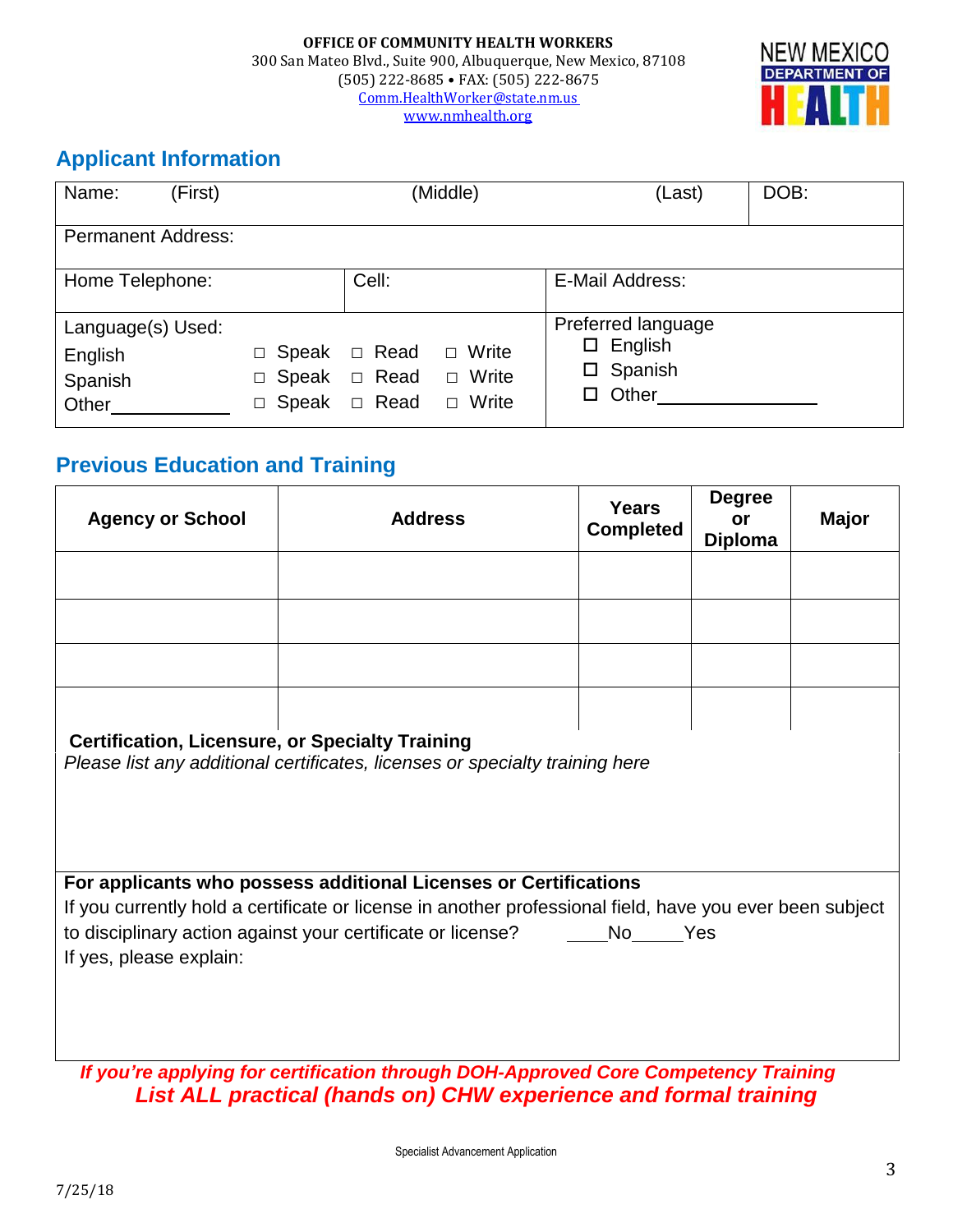

# **Applicant Information**

| Name:<br>(First)                                 | (Middle)                                       |                  |                                                       | (Last)                                                                    | DOB: |
|--------------------------------------------------|------------------------------------------------|------------------|-------------------------------------------------------|---------------------------------------------------------------------------|------|
| <b>Permanent Address:</b>                        |                                                |                  |                                                       |                                                                           |      |
| Home Telephone:                                  |                                                | Cell:            |                                                       | E-Mail Address:                                                           |      |
| Language(s) Used:<br>English<br>Spanish<br>Other | □ Speak<br>$\Box$ Speak $\Box$ Read<br>□ Speak | □ Read<br>□ Read | Write<br>$\Box$<br>Write<br>$\Box$<br>Write<br>$\Box$ | Preferred language<br>$\Box$ English<br>$\square$ Spanish<br>$\Box$ Other |      |

## **Previous Education and Training**

| <b>Agency or School</b>                                                                                                                                                                                                                                                                            | <b>Address</b> | <b>Years</b><br><b>Completed</b> | <b>Degree</b><br>or<br><b>Diploma</b> | <b>Major</b> |  |  |
|----------------------------------------------------------------------------------------------------------------------------------------------------------------------------------------------------------------------------------------------------------------------------------------------------|----------------|----------------------------------|---------------------------------------|--------------|--|--|
|                                                                                                                                                                                                                                                                                                    |                |                                  |                                       |              |  |  |
|                                                                                                                                                                                                                                                                                                    |                |                                  |                                       |              |  |  |
|                                                                                                                                                                                                                                                                                                    |                |                                  |                                       |              |  |  |
|                                                                                                                                                                                                                                                                                                    |                |                                  |                                       |              |  |  |
| <b>Certification, Licensure, or Specialty Training</b><br>Please list any additional certificates, licenses or specialty training here                                                                                                                                                             |                |                                  |                                       |              |  |  |
| For applicants who possess additional Licenses or Certifications<br>If you currently hold a certificate or license in another professional field, have you ever been subject<br>to disciplinary action against your certificate or license?<br>No <sub>___</sub> ___Yes<br>If yes, please explain: |                |                                  |                                       |              |  |  |
| If you're applying for certification through DOH-Approved Core Competency Training                                                                                                                                                                                                                 |                |                                  |                                       |              |  |  |

*List ALL practical (hands on) CHW experience and formal training*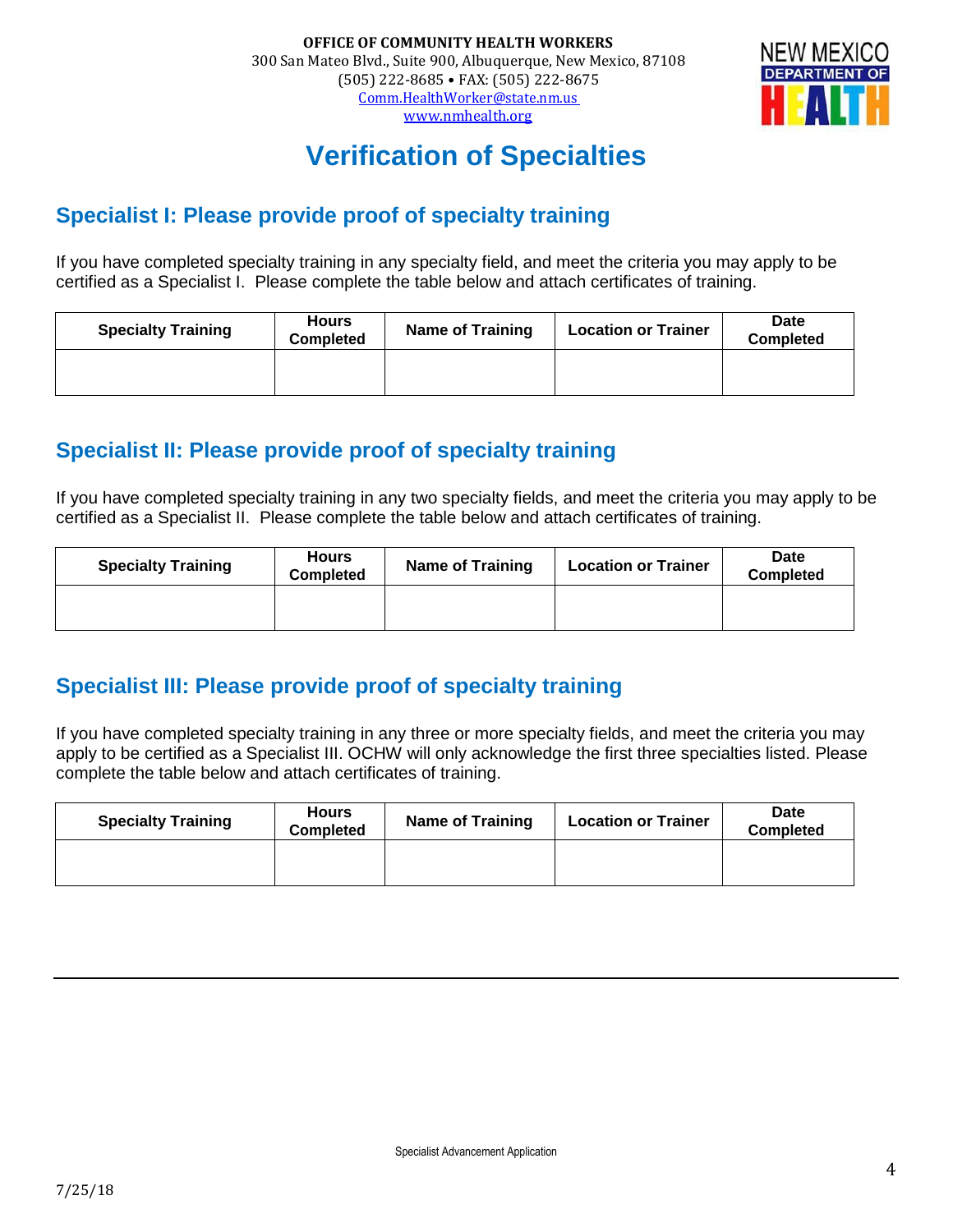

# **Verification of Specialties**

### **Specialist I: Please provide proof of specialty training**

If you have completed specialty training in any specialty field, and meet the criteria you may apply to be certified as a Specialist I. Please complete the table below and attach certificates of training.

| <b>Specialty Training</b> | <b>Hours</b><br><b>Completed</b> | <b>Name of Training</b> | <b>Location or Trainer</b> | Date<br><b>Completed</b> |
|---------------------------|----------------------------------|-------------------------|----------------------------|--------------------------|
|                           |                                  |                         |                            |                          |

### **Specialist II: Please provide proof of specialty training**

If you have completed specialty training in any two specialty fields, and meet the criteria you may apply to be certified as a Specialist II. Please complete the table below and attach certificates of training.

| <b>Specialty Training</b> | <b>Hours</b><br>Completed | <b>Name of Training</b> | <b>Location or Trainer</b> | Date<br><b>Completed</b> |
|---------------------------|---------------------------|-------------------------|----------------------------|--------------------------|
|                           |                           |                         |                            |                          |

### **Specialist III: Please provide proof of specialty training**

If you have completed specialty training in any three or more specialty fields, and meet the criteria you may apply to be certified as a Specialist III. OCHW will only acknowledge the first three specialties listed. Please complete the table below and attach certificates of training.

| <b>Specialty Training</b> | <b>Hours</b><br>Completed | <b>Name of Training</b> | <b>Location or Trainer</b> | Date<br><b>Completed</b> |
|---------------------------|---------------------------|-------------------------|----------------------------|--------------------------|
|                           |                           |                         |                            |                          |